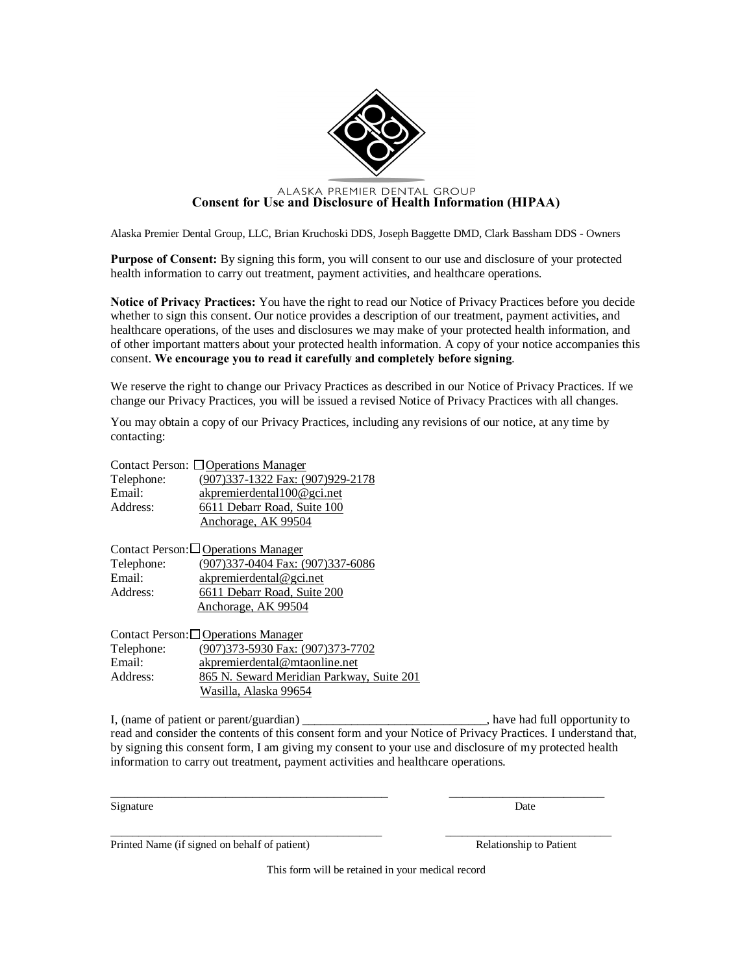

## **CONSER ALASKA PREMIER DENTAL GROUP**<br>**Consent for Use and Disclosure of Health Information (HIPAA)**

Alaska Premier Dental Group, LLC, Brian Kruchoski DDS, Joseph Baggette DMD, Clark Bassham DDS - Owners

**Purpose of Consent:** By signing this form, you will consent to our use and disclosure of your protected health information to carry out treatment, payment activities, and healthcare operations.

**Notice of Privacy Practices:** You have the right to read our Notice of Privacy Practices before you decide whether to sign this consent. Our notice provides a description of our treatment, payment activities, and healthcare operations, of the uses and disclosures we may make of your protected health information, and of other important matters about your protected health information. A copy of your notice accompanies this consent. **We encourage you to read it carefully and completely before signing**.

We reserve the right to change our Privacy Practices as described in our Notice of Privacy Practices. If we change our Privacy Practices, you will be issued a revised Notice of Privacy Practices with all changes.

You may obtain a copy of our Privacy Practices, including any revisions of our notice, at any time by contacting:

|            | Contact Person: □ Operations Manager |
|------------|--------------------------------------|
| Telephone: | (907) 337-1322 Fax: (907) 929-2178   |
| Email:     | akpremierdental100@gci.net           |
| Address:   | 6611 Debarr Road, Suite 100          |
|            | Anchorage, AK 99504                  |

|            | Contact Person: Operations Manager |
|------------|------------------------------------|
| Telephone: | (907)337-0404 Fax: (907)337-6086   |
| Email:     | akpremierdental@gci.net            |
| Address:   | 6611 Debarr Road, Suite 200        |
|            | Anchorage, AK 99504                |

|            | Contact Person:□ Operations Manager       |
|------------|-------------------------------------------|
| Telephone: | (907) 373-5930 Fax: (907) 373-7702        |
| Email:     | akpremierdental@mtaonline.net             |
| Address:   | 865 N. Seward Meridian Parkway, Suite 201 |
|            | Wasilla, Alaska 99654                     |

I, (name of patient or parent/guardian) \_\_\_\_\_\_\_\_\_\_\_\_\_\_\_\_\_\_\_\_\_\_\_\_\_\_\_, have had full opportunity to read and consider the contents of this consent form and your Notice of Privacy Practices. I understand that, by signing this consent form, I am giving my consent to your use and disclosure of my protected health information to carry out treatment, payment activities and healthcare operations.

\_\_\_\_\_\_\_\_\_\_\_\_\_\_\_\_\_\_\_\_\_\_\_\_\_\_\_\_\_\_\_\_\_\_\_\_\_\_\_\_\_ \_\_\_\_\_\_\_\_\_\_\_\_\_\_\_\_\_\_\_\_\_\_\_

\_\_\_\_\_\_\_\_\_\_\_\_\_\_\_\_\_\_\_\_\_\_\_\_\_\_\_\_\_\_\_\_\_\_\_\_\_\_\_\_\_\_\_\_\_\_\_\_\_ \_\_\_\_\_\_\_\_\_\_\_\_\_\_\_\_\_\_\_\_\_\_\_\_\_\_\_\_\_\_

Signature Date Date of the Date of the United States of the Date of the Date of the Date of the Date of the United States of the United States of the United States of the United States of the United States of the United St

Printed Name (if signed on behalf of patient) Relationship to Patient

This form will be retained in your medical record